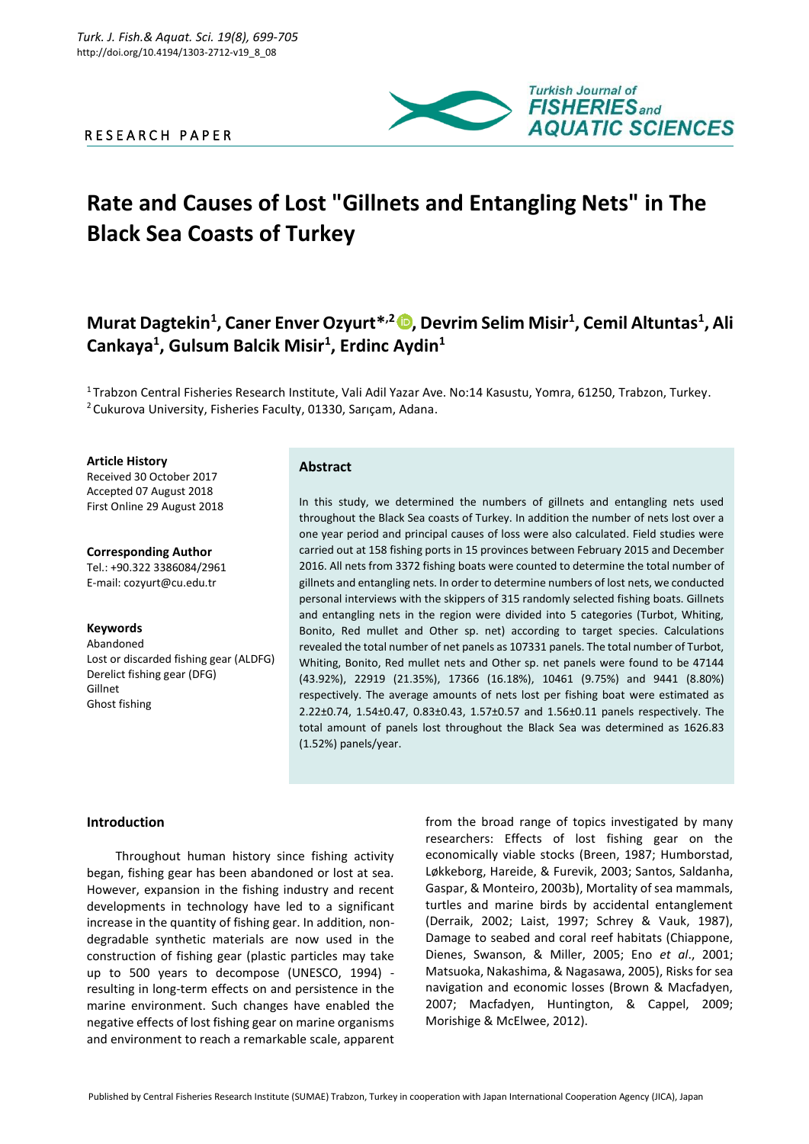## R E S E A R C H P A P E R



# **Rate and Causes of Lost "Gillnets and Entangling Nets" in The Black Sea Coasts of Turkey**

# **Murat Dagtekin<sup>1</sup> , Caner Enver Ozyurt\* ,2 , Devrim Selim Misir<sup>1</sup> , Cemil Altuntas<sup>1</sup> , Ali Cankaya<sup>1</sup> , Gulsum Balcik Misir<sup>1</sup> , Erdinc Aydin<sup>1</sup>**

<sup>1</sup> Trabzon Central Fisheries Research Institute, Vali Adil Yazar Ave. No:14 Kasustu, Yomra, 61250, Trabzon, Turkey. <sup>2</sup> Cukurova University, Fisheries Faculty, 01330, Sarıçam, Adana.

**Article History**

Received 30 October 2017 Accepted 07 August 2018 First Online 29 August 2018

**Corresponding Author** Tel.: +90.322 3386084/2961 E-mail: cozyurt@cu.edu.tr

#### **Keywords** Abandoned

Lost or discarded fishing gear (ALDFG) Derelict fishing gear (DFG) Gillnet Ghost fishing

# **Abstract**

In this study, we determined the numbers of gillnets and entangling nets used throughout the Black Sea coasts of Turkey. In addition the number of nets lost over a one year period and principal causes of loss were also calculated. Field studies were carried out at 158 fishing ports in 15 provinces between February 2015 and December 2016. All nets from 3372 fishing boats were counted to determine the total number of gillnets and entangling nets. In order to determine numbers of lost nets, we conducted personal interviews with the skippers of 315 randomly selected fishing boats. Gillnets and entangling nets in the region were divided into 5 categories (Turbot, Whiting, Bonito, Red mullet and Other sp. net) according to target species. Calculations revealed the total number of net panels as 107331 panels. The total number of Turbot, Whiting, Bonito, Red mullet nets and Other sp. net panels were found to be 47144 (43.92%), 22919 (21.35%), 17366 (16.18%), 10461 (9.75%) and 9441 (8.80%) respectively. The average amounts of nets lost per fishing boat were estimated as 2.22±0.74, 1.54±0.47, 0.83±0.43, 1.57±0.57 and 1.56±0.11 panels respectively. The total amount of panels lost throughout the Black Sea was determined as 1626.83 (1.52%) panels/year.

### **Introduction**

Throughout human history since fishing activity began, fishing gear has been abandoned or lost at sea. However, expansion in the fishing industry and recent developments in technology have led to a significant increase in the quantity of fishing gear. In addition, nondegradable synthetic materials are now used in the construction of fishing gear (plastic particles may take up to 500 years to decompose (UNESCO, 1994) resulting in long-term effects on and persistence in the marine environment. Such changes have enabled the negative effects of lost fishing gear on marine organisms and environment to reach a remarkable scale, apparent

from the broad range of topics investigated by many researchers: Effects of lost fishing gear on the economically viable stocks (Breen, 1987; Humborstad, Løkkeborg, Hareide, & Furevik, 2003; Santos, Saldanha, Gaspar, & Monteiro, 2003b), Mortality of sea mammals, turtles and marine birds by accidental entanglement (Derraik, 2002; Laist, 1997; Schrey & Vauk, 1987), Damage to seabed and coral reef habitats (Chiappone, Dienes, Swanson, & Miller, 2005; Eno *et al*., 2001; Matsuoka, Nakashima, & Nagasawa, 2005), Risks for sea navigation and economic losses (Brown & Macfadyen, 2007; Macfadyen, Huntington, & Cappel, 2009; Morishige & McElwee, 2012).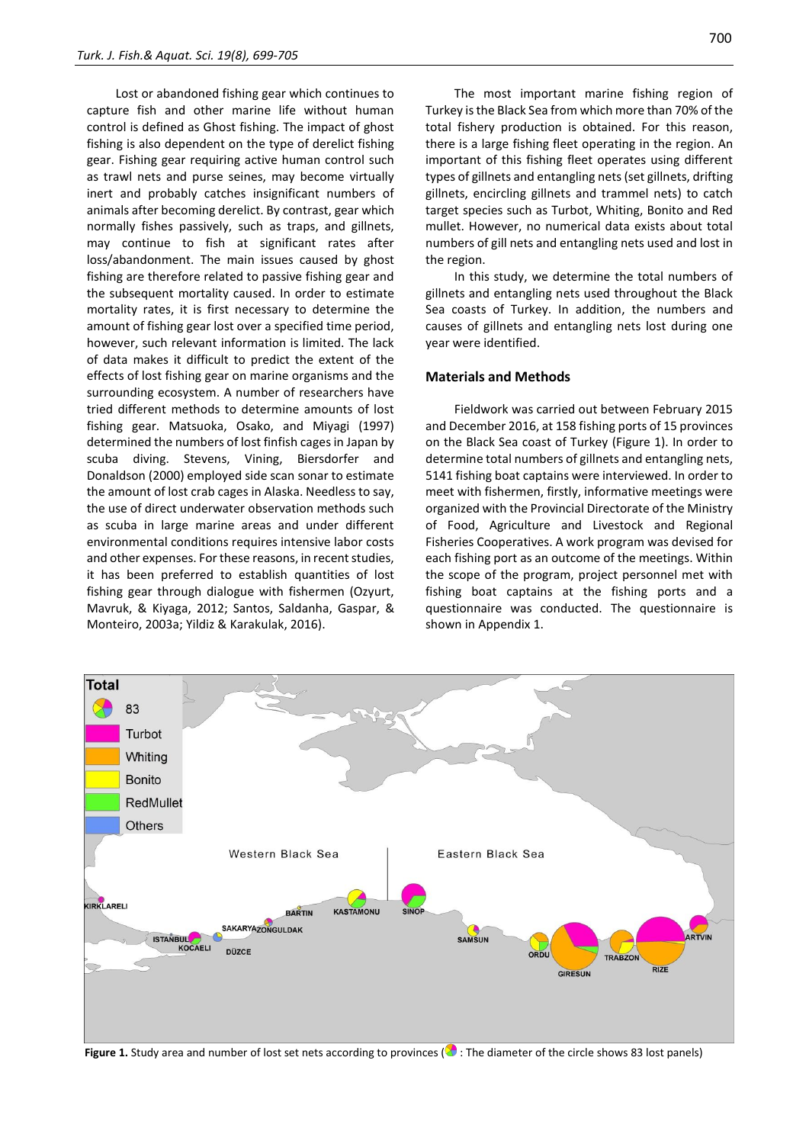Lost or abandoned fishing gear which continues to capture fish and other marine life without human control is defined as Ghost fishing. The impact of ghost fishing is also dependent on the type of derelict fishing gear. Fishing gear requiring active human control such as trawl nets and purse seines, may become virtually inert and probably catches insignificant numbers of animals after becoming derelict. By contrast, gear which normally fishes passively, such as traps, and gillnets, may continue to fish at significant rates after loss/abandonment. The main issues caused by ghost fishing are therefore related to passive fishing gear and the subsequent mortality caused. In order to estimate mortality rates, it is first necessary to determine the amount of fishing gear lost over a specified time period, however, such relevant information is limited. The lack of data makes it difficult to predict the extent of the effects of lost fishing gear on marine organisms and the surrounding ecosystem. A number of researchers have tried different methods to determine amounts of lost fishing gear. Matsuoka, Osako, and Miyagi (1997) determined the numbers of lost finfish cages in Japan by scuba diving. Stevens, Vining, Biersdorfer and Donaldson (2000) employed side scan sonar to estimate the amount of lost crab cages in Alaska. Needless to say, the use of direct underwater observation methods such as scuba in large marine areas and under different environmental conditions requires intensive labor costs and other expenses. For these reasons, in recent studies, it has been preferred to establish quantities of lost fishing gear through dialogue with fishermen (Ozyurt, Mavruk, & Kiyaga, 2012; Santos, Saldanha, Gaspar, & Monteiro, 2003a; Yildiz & Karakulak, 2016).

700

The most important marine fishing region of Turkey is the Black Sea from which more than 70% of the total fishery production is obtained. For this reason, there is a large fishing fleet operating in the region. An important of this fishing fleet operates using different types of gillnets and entangling nets (set gillnets, drifting gillnets, encircling gillnets and trammel nets) to catch target species such as Turbot, Whiting, Bonito and Red mullet. However, no numerical data exists about total numbers of gill nets and entangling nets used and lost in the region.

In this study, we determine the total numbers of gillnets and entangling nets used throughout the Black Sea coasts of Turkey. In addition, the numbers and causes of gillnets and entangling nets lost during one year were identified.

#### **Materials and Methods**

Fieldwork was carried out between February 2015 and December 2016, at 158 fishing ports of 15 provinces on the Black Sea coast of Turkey (Figure 1). In order to determine total numbers of gillnets and entangling nets, 5141 fishing boat captains were interviewed. In order to meet with fishermen, firstly, informative meetings were organized with the Provincial Directorate of the Ministry of Food, Agriculture and Livestock and Regional Fisheries Cooperatives. A work program was devised for each fishing port as an outcome of the meetings. Within the scope of the program, project personnel met with fishing boat captains at the fishing ports and a questionnaire was conducted. The questionnaire is shown in Appendix 1.



**Figure 1.** Study area and number of lost set nets according to provinces (**C**): The diameter of the circle shows 83 lost panels)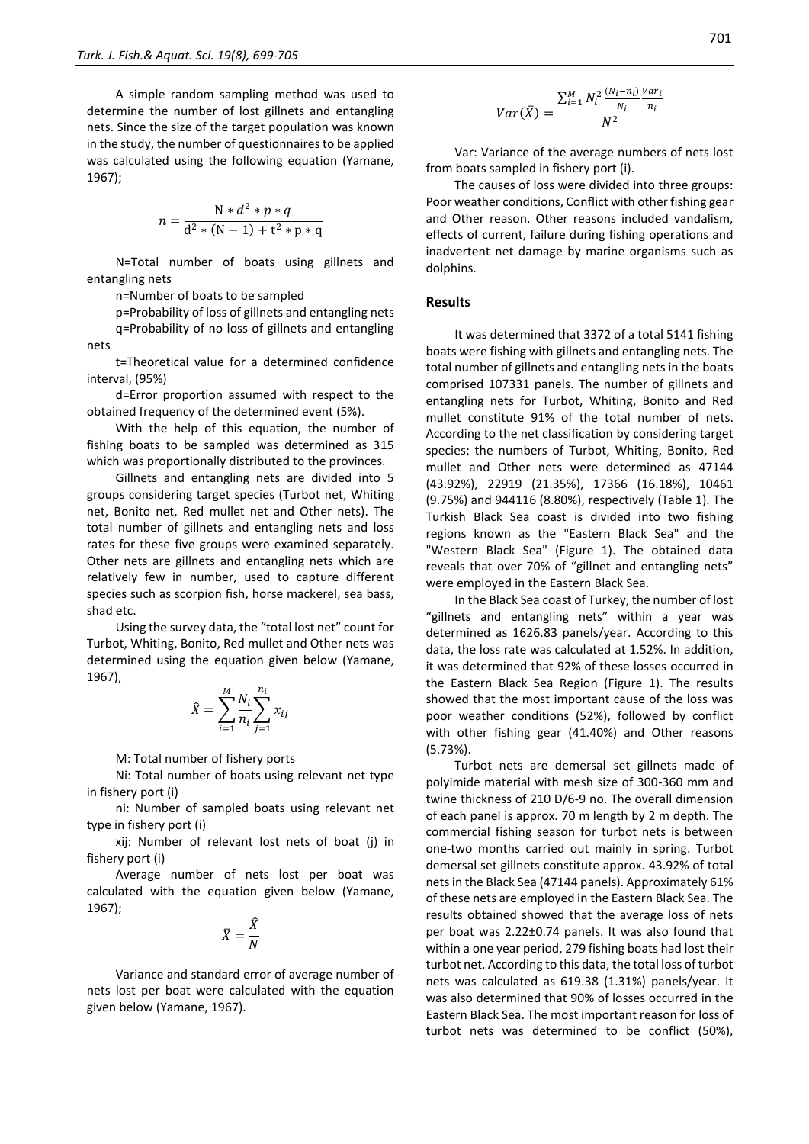A simple random sampling method was used to determine the number of lost gillnets and entangling nets. Since the size of the target population was known in the study, the number of questionnaires to be applied was calculated using the following equation (Yamane, 1967);

$$
n = \frac{N * d^{2} * p * q}{d^{2} * (N - 1) + t^{2} * p * q}
$$

N=Total number of boats using gillnets and entangling nets

n=Number of boats to be sampled

p=Probability of loss of gillnets and entangling nets q=Probability of no loss of gillnets and entangling nets

t=Theoretical value for a determined confidence interval, (95%)

d=Error proportion assumed with respect to the obtained frequency of the determined event (5%).

With the help of this equation, the number of fishing boats to be sampled was determined as 315 which was proportionally distributed to the provinces.

Gillnets and entangling nets are divided into 5 groups considering target species (Turbot net, Whiting net, Bonito net, Red mullet net and Other nets). The total number of gillnets and entangling nets and loss rates for these five groups were examined separately. Other nets are gillnets and entangling nets which are relatively few in number, used to capture different species such as scorpion fish, horse mackerel, sea bass, shad etc.

Using the survey data, the "total lost net" count for Turbot, Whiting, Bonito, Red mullet and Other nets was determined using the equation given below (Yamane, 1967),

$$
\hat{X} = \sum_{i=1}^{M} \frac{N_i}{n_i} \sum_{j=1}^{n_i} x_{ij}
$$

M: Total number of fishery ports

Ni: Total number of boats using relevant net type in fishery port (i)

ni: Number of sampled boats using relevant net type in fishery port (i)

xij: Number of relevant lost nets of boat (j) in fishery port (i)

Average number of nets lost per boat was calculated with the equation given below (Yamane, 1967);

$$
\bar{X} = \frac{\hat{X}}{N}
$$

Variance and standard error of average number of nets lost per boat were calculated with the equation given below (Yamane, 1967).

$$
Var(\bar{X}) = \frac{\sum_{i=1}^{M} N_i^2 \frac{(N_i - n_i)}{N_i} \frac{Var_i}{n_i}}{N^2}
$$

Var: Variance of the average numbers of nets lost from boats sampled in fishery port (i).

The causes of loss were divided into three groups: Poor weather conditions, Conflict with other fishing gear and Other reason. Other reasons included vandalism, effects of current, failure during fishing operations and inadvertent net damage by marine organisms such as dolphins.

#### **Results**

It was determined that 3372 of a total 5141 fishing boats were fishing with gillnets and entangling nets. The total number of gillnets and entangling nets in the boats comprised 107331 panels. The number of gillnets and entangling nets for Turbot, Whiting, Bonito and Red mullet constitute 91% of the total number of nets. According to the net classification by considering target species; the numbers of Turbot, Whiting, Bonito, Red mullet and Other nets were determined as 47144 (43.92%), 22919 (21.35%), 17366 (16.18%), 10461 (9.75%) and 944116 (8.80%), respectively (Table 1). The Turkish Black Sea coast is divided into two fishing regions known as the "Eastern Black Sea" and the "Western Black Sea" (Figure 1). The obtained data reveals that over 70% of "gillnet and entangling nets" were employed in the Eastern Black Sea.

In the Black Sea coast of Turkey, the number of lost "gillnets and entangling nets" within a year was determined as 1626.83 panels/year. According to this data, the loss rate was calculated at 1.52%. In addition, it was determined that 92% of these losses occurred in the Eastern Black Sea Region (Figure 1). The results showed that the most important cause of the loss was poor weather conditions (52%), followed by conflict with other fishing gear (41.40%) and Other reasons (5.73%).

Turbot nets are demersal set gillnets made of polyimide material with mesh size of 300-360 mm and twine thickness of 210 D/6-9 no. The overall dimension of each panel is approx. 70 m length by 2 m depth. The commercial fishing season for turbot nets is between one-two months carried out mainly in spring. Turbot demersal set gillnets constitute approx. 43.92% of total nets in the Black Sea (47144 panels). Approximately 61% of these nets are employed in the Eastern Black Sea. The results obtained showed that the average loss of nets per boat was 2.22±0.74 panels. It was also found that within a one year period, 279 fishing boats had lost their turbot net. According to this data, the total loss of turbot nets was calculated as 619.38 (1.31%) panels/year. It was also determined that 90% of losses occurred in the Eastern Black Sea. The most important reason for loss of turbot nets was determined to be conflict (50%),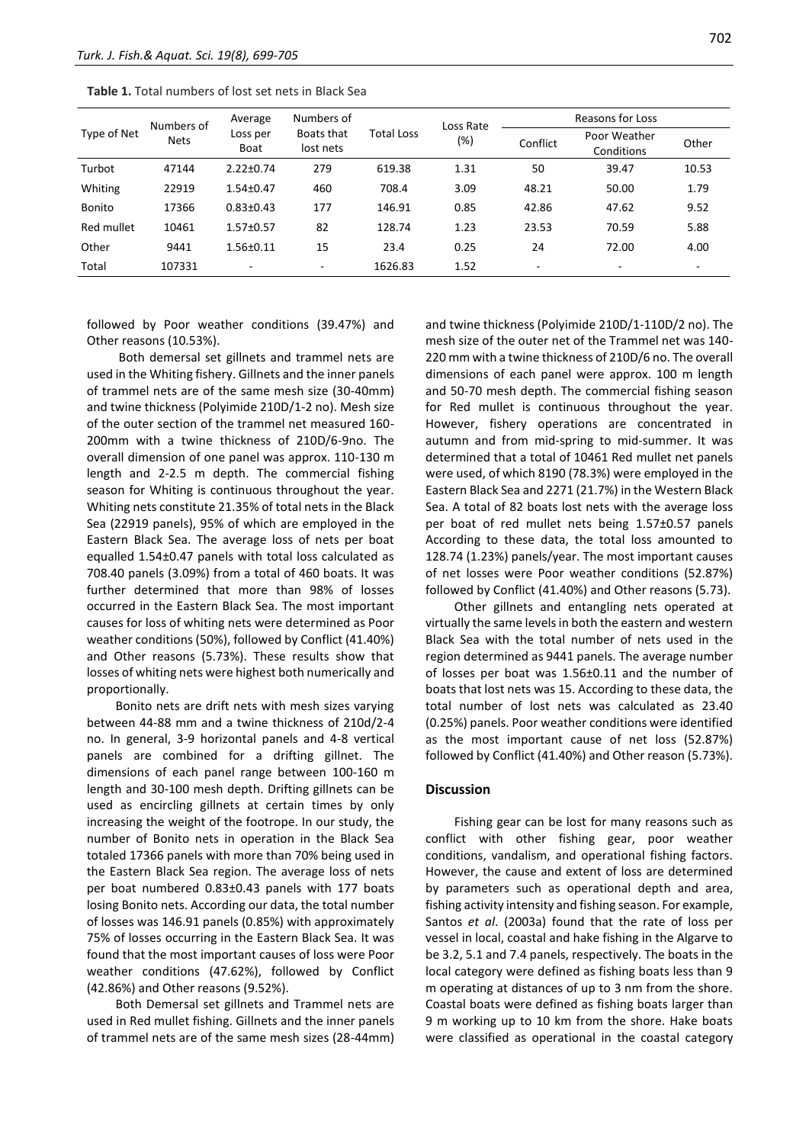| Type of Net   | Numbers of<br><b>Nets</b> | Average<br>Loss per<br>Boat | Numbers of<br>Boats that<br>lost nets | <b>Total Loss</b> | Loss Rate<br>(%) | Reasons for Loss |                            |       |
|---------------|---------------------------|-----------------------------|---------------------------------------|-------------------|------------------|------------------|----------------------------|-------|
|               |                           |                             |                                       |                   |                  | Conflict         | Poor Weather<br>Conditions | Other |
| Turbot        | 47144                     | $2.22 \pm 0.74$             | 279                                   | 619.38            | 1.31             | 50               | 39.47                      | 10.53 |
| Whiting       | 22919                     | $1.54 \pm 0.47$             | 460                                   | 708.4             | 3.09             | 48.21            | 50.00                      | 1.79  |
| <b>Bonito</b> | 17366                     | $0.83 \pm 0.43$             | 177                                   | 146.91            | 0.85             | 42.86            | 47.62                      | 9.52  |
| Red mullet    | 10461                     | $1.57 \pm 0.57$             | 82                                    | 128.74            | 1.23             | 23.53            | 70.59                      | 5.88  |
| Other         | 9441                      | $1.56 \pm 0.11$             | 15                                    | 23.4              | 0.25             | 24               | 72.00                      | 4.00  |
| Total         | 107331                    | $\overline{\phantom{a}}$    | ٠.                                    | 1626.83           | 1.52             | $\overline{a}$   | ۰                          |       |

followed by Poor weather conditions (39.47%) and Other reasons (10.53%).

Both demersal set gillnets and trammel nets are used in the Whiting fishery. Gillnets and the inner panels of trammel nets are of the same mesh size (30-40mm) and twine thickness (Polyimide 210D/1-2 no). Mesh size of the outer section of the trammel net measured 160- 200mm with a twine thickness of 210D/6-9no. The overall dimension of one panel was approx. 110-130 m length and 2-2.5 m depth. The commercial fishing season for Whiting is continuous throughout the year. Whiting nets constitute 21.35% of total nets in the Black Sea (22919 panels), 95% of which are employed in the Eastern Black Sea. The average loss of nets per boat equalled 1.54±0.47 panels with total loss calculated as 708.40 panels (3.09%) from a total of 460 boats. It was further determined that more than 98% of losses occurred in the Eastern Black Sea. The most important causes for loss of whiting nets were determined as Poor weather conditions (50%), followed by Conflict (41.40%) and Other reasons (5.73%). These results show that losses of whiting nets were highest both numerically and proportionally.

Bonito nets are drift nets with mesh sizes varying between 44-88 mm and a twine thickness of 210d/2-4 no. In general, 3-9 horizontal panels and 4-8 vertical panels are combined for a drifting gillnet. The dimensions of each panel range between 100-160 m length and 30-100 mesh depth. Drifting gillnets can be used as encircling gillnets at certain times by only increasing the weight of the footrope. In our study, the number of Bonito nets in operation in the Black Sea totaled 17366 panels with more than 70% being used in the Eastern Black Sea region. The average loss of nets per boat numbered 0.83±0.43 panels with 177 boats losing Bonito nets. According our data, the total number of losses was 146.91 panels (0.85%) with approximately 75% of losses occurring in the Eastern Black Sea. It was found that the most important causes of loss were Poor weather conditions (47.62%), followed by Conflict (42.86%) and Other reasons (9.52%).

Both Demersal set gillnets and Trammel nets are used in Red mullet fishing. Gillnets and the inner panels of trammel nets are of the same mesh sizes (28-44mm) and twine thickness (Polyimide 210D/1-110D/2 no). The mesh size of the outer net of the Trammel net was 140- 220 mm with a twine thickness of 210D/6 no. The overall dimensions of each panel were approx. 100 m length and 50-70 mesh depth. The commercial fishing season for Red mullet is continuous throughout the year. However, fishery operations are concentrated in autumn and from mid-spring to mid-summer. It was determined that a total of 10461 Red mullet net panels were used, of which 8190 (78.3%) were employed in the Eastern Black Sea and 2271 (21.7%) in the Western Black Sea. A total of 82 boats lost nets with the average loss per boat of red mullet nets being 1.57±0.57 panels According to these data, the total loss amounted to 128.74 (1.23%) panels/year. The most important causes of net losses were Poor weather conditions (52.87%) followed by Conflict (41.40%) and Other reasons (5.73).

Other gillnets and entangling nets operated at virtually the same levels in both the eastern and western Black Sea with the total number of nets used in the region determined as 9441 panels. The average number of losses per boat was 1.56±0.11 and the number of boats that lost nets was 15. According to these data, the total number of lost nets was calculated as 23.40 (0.25%) panels. Poor weather conditions were identified as the most important cause of net loss (52.87%) followed by Conflict (41.40%) and Other reason (5.73%).

#### **Discussion**

Fishing gear can be lost for many reasons such as conflict with other fishing gear, poor weather conditions, vandalism, and operational fishing factors. However, the cause and extent of loss are determined by parameters such as operational depth and area, fishing activity intensity and fishing season. For example, Santos *et al*. (2003a) found that the rate of loss per vessel in local, coastal and hake fishing in the Algarve to be 3.2, 5.1 and 7.4 panels, respectively. The boats in the local category were defined as fishing boats less than 9 m operating at distances of up to 3 nm from the shore. Coastal boats were defined as fishing boats larger than 9 m working up to 10 km from the shore. Hake boats were classified as operational in the coastal category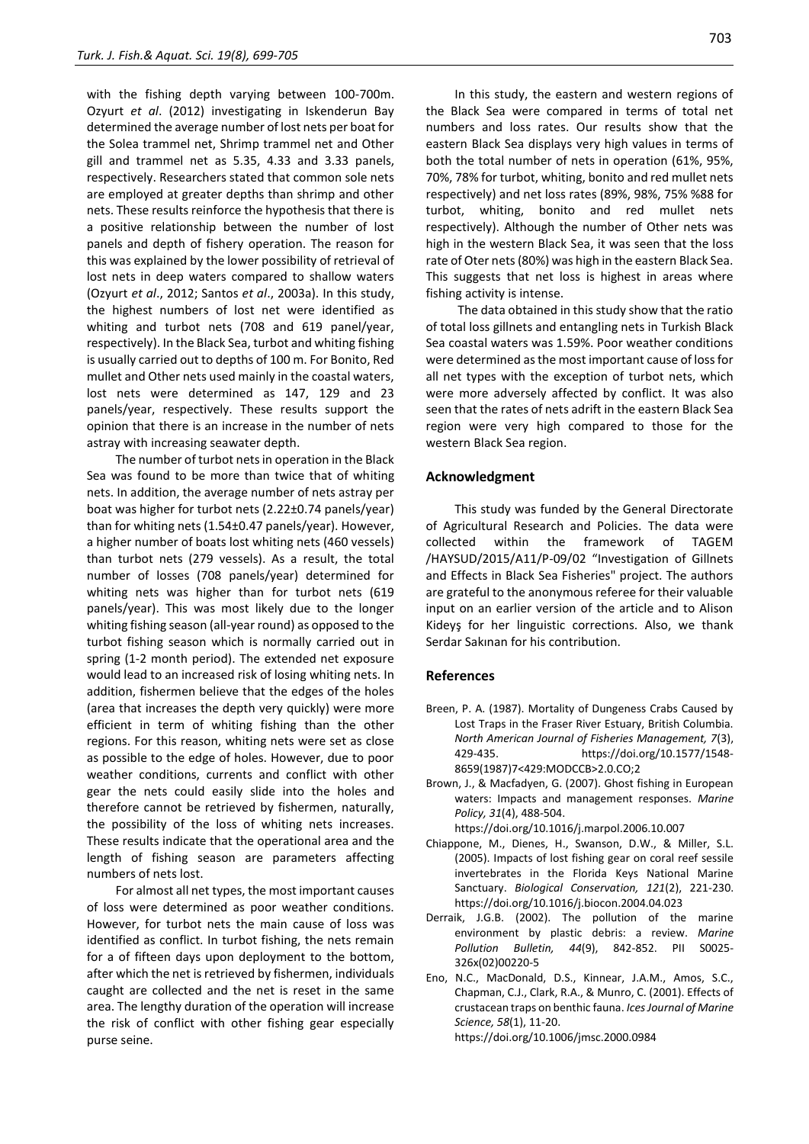with the fishing depth varying between 100-700m. Ozyurt *et al*. (2012) investigating in Iskenderun Bay determined the average number of lost nets per boat for the Solea trammel net, Shrimp trammel net and Other gill and trammel net as 5.35, 4.33 and 3.33 panels, respectively. Researchers stated that common sole nets are employed at greater depths than shrimp and other nets. These results reinforce the hypothesis that there is a positive relationship between the number of lost panels and depth of fishery operation. The reason for this was explained by the lower possibility of retrieval of lost nets in deep waters compared to shallow waters (Ozyurt *et al*., 2012; Santos *et al*., 2003a). In this study, the highest numbers of lost net were identified as whiting and turbot nets (708 and 619 panel/year, respectively). In the Black Sea, turbot and whiting fishing is usually carried out to depths of 100 m. For Bonito, Red mullet and Other nets used mainly in the coastal waters, lost nets were determined as 147, 129 and 23 panels/year, respectively. These results support the opinion that there is an increase in the number of nets astray with increasing seawater depth.

The number of turbot nets in operation in the Black Sea was found to be more than twice that of whiting nets. In addition, the average number of nets astray per boat was higher for turbot nets (2.22±0.74 panels/year) than for whiting nets (1.54±0.47 panels/year). However, a higher number of boats lost whiting nets (460 vessels) than turbot nets (279 vessels). As a result, the total number of losses (708 panels/year) determined for whiting nets was higher than for turbot nets (619 panels/year). This was most likely due to the longer whiting fishing season (all-year round) as opposed to the turbot fishing season which is normally carried out in spring (1-2 month period). The extended net exposure would lead to an increased risk of losing whiting nets. In addition, fishermen believe that the edges of the holes (area that increases the depth very quickly) were more efficient in term of whiting fishing than the other regions. For this reason, whiting nets were set as close as possible to the edge of holes. However, due to poor weather conditions, currents and conflict with other gear the nets could easily slide into the holes and therefore cannot be retrieved by fishermen, naturally, the possibility of the loss of whiting nets increases. These results indicate that the operational area and the length of fishing season are parameters affecting numbers of nets lost.

For almost all net types, the most important causes of loss were determined as poor weather conditions. However, for turbot nets the main cause of loss was identified as conflict. In turbot fishing, the nets remain for a of fifteen days upon deployment to the bottom, after which the net is retrieved by fishermen, individuals caught are collected and the net is reset in the same area. The lengthy duration of the operation will increase the risk of conflict with other fishing gear especially purse seine.

In this study, the eastern and western regions of the Black Sea were compared in terms of total net numbers and loss rates. Our results show that the eastern Black Sea displays very high values in terms of both the total number of nets in operation (61%, 95%, 70%, 78% for turbot, whiting, bonito and red mullet nets respectively) and net loss rates (89%, 98%, 75% %88 for turbot, whiting, bonito and red mullet nets respectively). Although the number of Other nets was high in the western Black Sea, it was seen that the loss rate of Oter nets (80%) was high in the eastern Black Sea. This suggests that net loss is highest in areas where fishing activity is intense.

The data obtained in this study show that the ratio of total loss gillnets and entangling nets in Turkish Black Sea coastal waters was 1.59%. Poor weather conditions were determined as the most important cause of loss for all net types with the exception of turbot nets, which were more adversely affected by conflict. It was also seen that the rates of nets adrift in the eastern Black Sea region were very high compared to those for the western Black Sea region.

#### **Acknowledgment**

This study was funded by the General Directorate of Agricultural Research and Policies. The data were collected within the framework of TAGEM /HAYSUD/2015/A11/P-09/02 "Investigation of Gillnets and Effects in Black Sea Fisheries" project. The authors are grateful to the anonymous referee for their valuable input on an earlier version of the article and to Alison Kideyş for her linguistic corrections. Also, we thank Serdar Sakınan for his contribution.

#### **References**

- Breen, P. A. (1987). Mortality of Dungeness Crabs Caused by Lost Traps in the Fraser River Estuary, British Columbia. *North American Journal of Fisheries Management, 7*(3), 429-435. https://doi.org/10.1577/1548- 8659(1987)7<429:MODCCB>2.0.CO;2
- Brown, J., & Macfadyen, G. (2007). Ghost fishing in European waters: Impacts and management responses. *Marine Policy, 31*(4), 488-504.
	- https://doi.org/10.1016/j.marpol.2006.10.007
- Chiappone, M., Dienes, H., Swanson, D.W., & Miller, S.L. (2005). Impacts of lost fishing gear on coral reef sessile invertebrates in the Florida Keys National Marine Sanctuary. *Biological Conservation, 121*(2), 221-230. https://doi.org/10.1016/j.biocon.2004.04.023
- Derraik, J.G.B. (2002). The pollution of the marine environment by plastic debris: a review. *Marine Pollution Bulletin, 44*(9), 842-852. PII S0025- 326x(02)00220-5
- Eno, N.C., MacDonald, D.S., Kinnear, J.A.M., Amos, S.C., Chapman, C.J., Clark, R.A., & Munro, C. (2001). Effects of crustacean traps on benthic fauna. *Ices Journal of Marine Science, 58*(1), 11-20. https://doi.org/10.1006/jmsc.2000.0984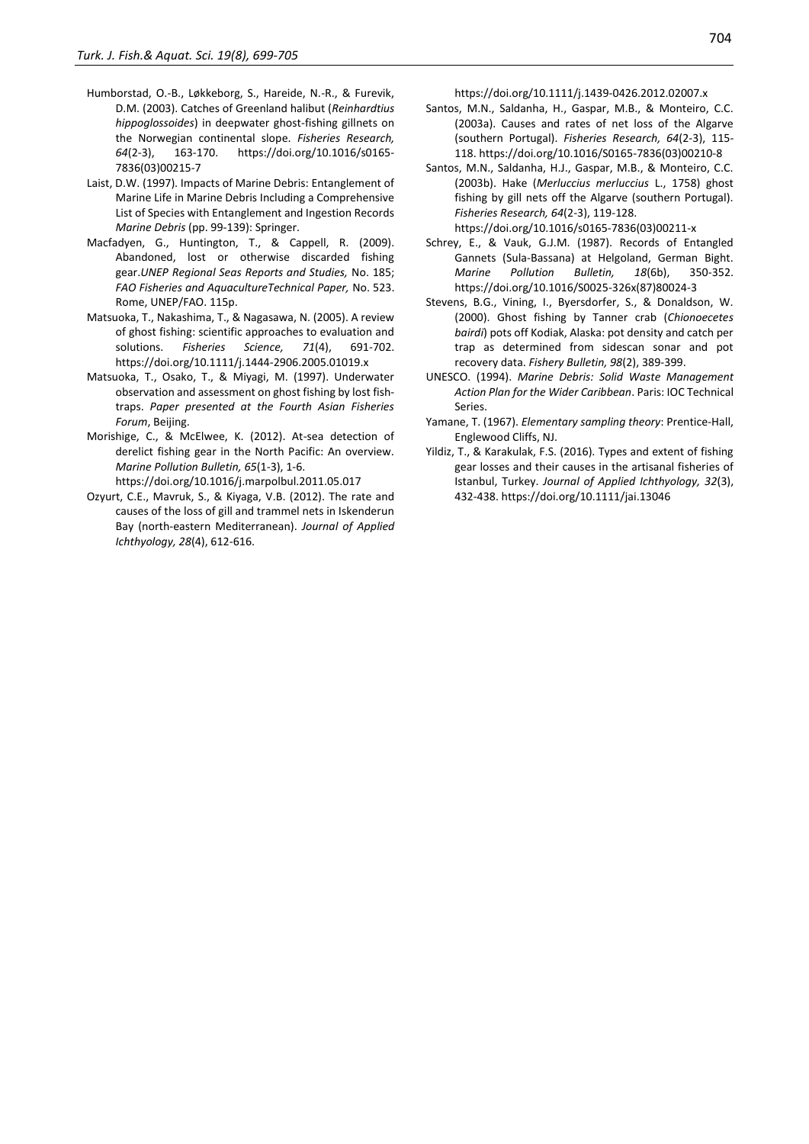- Humborstad, O.-B., Løkkeborg, S., Hareide, N.-R., & Furevik, D.M. (2003). Catches of Greenland halibut (*Reinhardtius hippoglossoides*) in deepwater ghost-fishing gillnets on the Norwegian continental slope. *Fisheries Research, 64*(2-3), 163-170. https://doi.org/10.1016/s0165- 7836(03)00215-7
- Laist, D.W. (1997). Impacts of Marine Debris: Entanglement of Marine Life in Marine Debris Including a Comprehensive List of Species with Entanglement and Ingestion Records *Marine Debris* (pp. 99-139): Springer.
- Macfadyen, G., Huntington, T., & Cappell, R. (2009). Abandoned, lost or otherwise discarded fishing gear.*UNEP Regional Seas Reports and Studies,* No. 185; *FAO Fisheries and AquacultureTechnical Paper,* No. 523. Rome, UNEP/FAO. 115p.
- Matsuoka, T., Nakashima, T., & Nagasawa, N. (2005). A review of ghost fishing: scientific approaches to evaluation and solutions. *Fisheries Science, 71*(4), 691-702. <https://doi.org/10.1111/j.1444-2906.2005.01019.x>
- Matsuoka, T., Osako, T., & Miyagi, M. (1997). Underwater observation and assessment on ghost fishing by lost fishtraps. *Paper presented at the Fourth Asian Fisheries Forum*, Beijing.
- Morishige, C., & McElwee, K. (2012). At-sea detection of derelict fishing gear in the North Pacific: An overview. *Marine Pollution Bulletin, 65*(1-3), 1-6. https://doi.org/10.1016/j.marpolbul.2011.05.017
- Ozyurt, C.E., Mavruk, S., & Kiyaga, V.B. (2012). The rate and causes of the loss of gill and trammel nets in Iskenderun Bay (north-eastern Mediterranean). *Journal of Applied Ichthyology, 28*(4), 612-616.

https://doi.org/10.1111/j.1439-0426.2012.02007.x

- Santos, M.N., Saldanha, H., Gaspar, M.B., & Monteiro, C.C. (2003a). Causes and rates of net loss of the Algarve (southern Portugal). *Fisheries Research, 64*(2-3), 115- 118. https://doi.org/10.1016/S0165-7836(03)00210-8
- Santos, M.N., Saldanha, H.J., Gaspar, M.B., & Monteiro, C.C. (2003b). Hake (*Merluccius merluccius* L., 1758) ghost fishing by gill nets off the Algarve (southern Portugal). *Fisheries Research, 64*(2-3), 119-128. https://doi.org/10.1016/s0165-7836(03)00211-x
- Schrey, E., & Vauk, G.J.M. (1987). Records of Entangled Gannets (Sula-Bassana) at Helgoland, German Bight. *Marine Pollution Bulletin, 18*(6b), 350-352. https://doi.org/10.1016/S0025-326x(87)80024-3
- Stevens, B.G., Vining, I., Byersdorfer, S., & Donaldson, W. (2000). Ghost fishing by Tanner crab (*Chionoecetes bairdi*) pots off Kodiak, Alaska: pot density and catch per trap as determined from sidescan sonar and pot recovery data. *Fishery Bulletin, 98*(2), 389-399.
- UNESCO. (1994). *Marine Debris: Solid Waste Management Action Plan for the Wider Caribbean*. Paris: IOC Technical Series.
- Yamane, T. (1967). *Elementary sampling theory*: Prentice-Hall, Englewood Cliffs, NJ.
- Yildiz, T., & Karakulak, F.S. (2016). Types and extent of fishing gear losses and their causes in the artisanal fisheries of Istanbul, Turkey. *Journal of Applied Ichthyology, 32*(3), 432-438. https://doi.org/10.1111/jai.13046